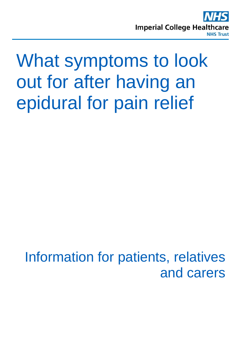

# What symptoms to look out for after having an epidural for pain relief

Information for patients, relatives and carers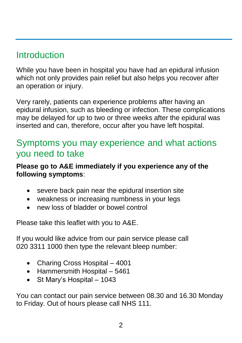## **Introduction**

While you have been in hospital you have had an epidural infusion which not only provides pain relief but also helps you recover after an operation or injury.

Very rarely, patients can experience problems after having an epidural infusion, such as bleeding or infection. These complications may be delayed for up to two or three weeks after the epidural was inserted and can, therefore, occur after you have left hospital.

## Symptoms you may experience and what actions you need to take

#### **Please go to A&E immediately if you experience any of the following symptoms**:

- severe back pain near the epidural insertion site
- weakness or increasing numbness in your legs
- new loss of bladder or bowel control

Please take this leaflet with you to A&E.

If you would like advice from our pain service please call 020 3311 1000 then type the relevant bleep number:

- Charing Cross Hospital 4001
- Hammersmith Hospital 5461
- St Mary's Hospital 1043

You can contact our pain service between 08.30 and 16.30 Monday to Friday. Out of hours please call NHS 111.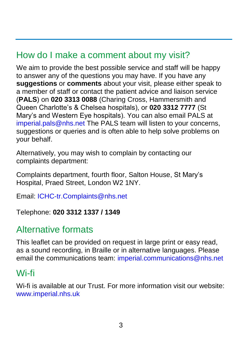## How do I make a comment about my visit?

We aim to provide the best possible service and staff will be happy to answer any of the questions you may have. If you have any **suggestions** or **comments** about your visit, please either speak to a member of staff or contact the patient advice and liaison service (**PALS**) on **020 3313 0088** (Charing Cross, Hammersmith and Queen Charlotte's & Chelsea hospitals), or **020 3312 7777** (St Mary's and Western Eye hospitals). You can also email PALS at [imperial.pals@nhs.net](mailto:imperial.pals@nhs.net) The PALS team will listen to your concerns, suggestions or queries and is often able to help solve problems on your behalf.

Alternatively, you may wish to complain by contacting our complaints department:

Complaints department, fourth floor, Salton House, St Mary's Hospital, Praed Street, London W2 1NY.

Email: [ICHC-tr.Complaints@nhs.net](mailto:ICHC-tr.Complaints@nhs.net)

Telephone: **020 3312 1337 / 1349** 

## Alternative formats

This leaflet can be provided on request in large print or easy read, as a sound recording, in Braille or in alternative languages. Please email the communications team: [imperial.communications@nhs.net](mailto:imperial.communications@nhs.net)

## Wi-fi

Wi-fi is available at our Trust. For more information visit our website: [www.imperial.nhs.uk](http://www.imperial.nhs.uk/)